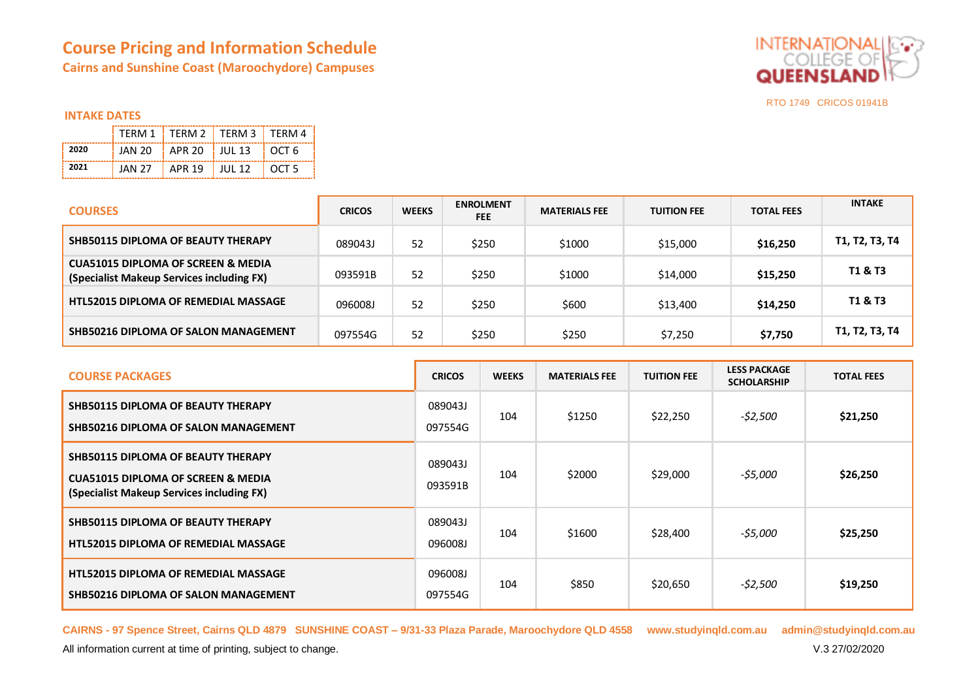# **Course Pricing and Information Schedule Cairns and Sunshine Coast (Maroochydore) Campuses**



## **INTAKE DATES**

|      |         | TFRM 1   TFRM 2   TFRM 3   TFRM 4 |          |         |
|------|---------|-----------------------------------|----------|---------|
| 2020 | JAN 20. | $\pm$ APR 20 $\pm$ JUL 13         |          | EOCT 6  |
| 2021 | JAN 27  | APR 19                            | T JUL 12 | T OCT 5 |

| <b>COURSES</b>                                                                             | <b>CRICOS</b> | <b>WEEKS</b> | <b>ENROLMENT</b><br><b>FEE</b> | <b>MATERIALS FEE</b> | <b>TUITION FEE</b> | <b>TOTAL FEES</b> | <b>INTAKE</b>      |
|--------------------------------------------------------------------------------------------|---------------|--------------|--------------------------------|----------------------|--------------------|-------------------|--------------------|
| <b>SHB50115 DIPLOMA OF BEAUTY THERAPY</b>                                                  | 089043J       | 52           | \$250                          | \$1000               | \$15,000           | \$16,250          | T1, T2, T3, T4     |
| <b>CUA51015 DIPLOMA OF SCREEN &amp; MEDIA</b><br>(Specialist Makeup Services including FX) | 093591B       | 52           | \$250                          | \$1000               | \$14,000           | \$15,250          | <b>T1 &amp; T3</b> |
| <b>HTL52015 DIPLOMA OF REMEDIAL MASSAGE</b>                                                | 096008J       | 52           | \$250                          | \$600                | \$13,400           | \$14,250          | <b>T1 &amp; T3</b> |
| SHB50216 DIPLOMA OF SALON MANAGEMENT                                                       | 097554G       | 52           | \$250                          | \$250                | \$7,250            | \$7,750           | T1, T2, T3, T4     |

| <b>COURSE PACKAGES</b>                                                                                                                  | <b>CRICOS</b>      | <b>WEEKS</b> | <b>MATERIALS FEE</b> | <b>TUITION FEE</b> | <b>LESS PACKAGE</b><br><b>SCHOLARSHIP</b> | <b>TOTAL FEES</b> |
|-----------------------------------------------------------------------------------------------------------------------------------------|--------------------|--------------|----------------------|--------------------|-------------------------------------------|-------------------|
| <b>SHB50115 DIPLOMA OF BEAUTY THERAPY</b><br>SHB50216 DIPLOMA OF SALON MANAGEMENT                                                       | 089043J<br>097554G | 104          | \$1250               | \$22,250           | -\$2,500                                  | \$21,250          |
| <b>SHB50115 DIPLOMA OF BEAUTY THERAPY</b><br><b>CUA51015 DIPLOMA OF SCREEN &amp; MEDIA</b><br>(Specialist Makeup Services including FX) | 089043J<br>093591B | 104          | \$2000               | \$29,000           | $-55,000$                                 | \$26,250          |
| <b>SHB50115 DIPLOMA OF BEAUTY THERAPY</b><br><b>HTL52015 DIPLOMA OF REMEDIAL MASSAGE</b>                                                | 089043J<br>096008J | 104          | \$1600               | \$28,400           | -\$5,000                                  | \$25,250          |
| <b>HTL52015 DIPLOMA OF REMEDIAL MASSAGE</b><br>SHB50216 DIPLOMA OF SALON MANAGEMENT                                                     | 096008J<br>097554G | 104          | \$850                | \$20,650           | -\$2,500                                  | \$19,250          |

**CAIRNS - 97 Spence Street, Cairns QLD 4879 SUNSHINE COAST – 9/31-33 Plaza Parade, Maroochydore QLD 4558 www.studyinqld.com.au admin@studyinqld.com.au**

All information current at time of printing, subject to change. **V.3 27/02/2020**